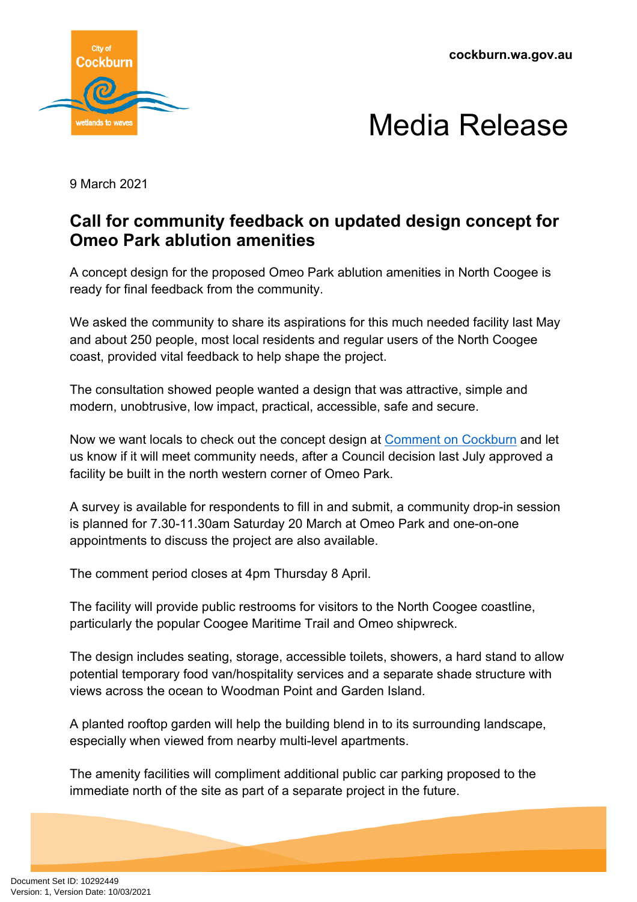**cockburn.wa.gov.au**





9 March 2021

## **Call for community feedback on updated design concept for Omeo Park ablution amenities**

A concept design for the proposed Omeo Park ablution amenities in North Coogee is ready for final feedback from the community.

We asked the community to share its aspirations for this much needed facility last May and about 250 people, most local residents and regular users of the North Coogee coast, provided vital feedback to help shape the project.

The consultation showed people wanted a design that was attractive, simple and modern, unobtrusive, low impact, practical, accessible, safe and secure.

Now we want locals to check out the concept design at [Comment on Cockburn](https://comment.cockburn.wa.gov.au/OmeoParkAmenity) and let us know if it will meet community needs, after a Council decision last July approved a facility be built in the north western corner of Omeo Park.

A survey is available for respondents to fill in and submit, a community drop-in session is planned for 7.30-11.30am Saturday 20 March at Omeo Park and one-on-one appointments to discuss the project are also available.

The comment period closes at 4pm Thursday 8 April.

The facility will provide public restrooms for visitors to the North Coogee coastline, particularly the popular Coogee Maritime Trail and Omeo shipwreck.

The design includes seating, storage, accessible toilets, showers, a hard stand to allow potential temporary food van/hospitality services and a separate shade structure with views across the ocean to Woodman Point and Garden Island.

A planted rooftop garden will help the building blend in to its surrounding landscape, especially when viewed from nearby multi-level apartments.

The amenity facilities will compliment additional public car parking proposed to the immediate north of the site as part of a separate project in the future.